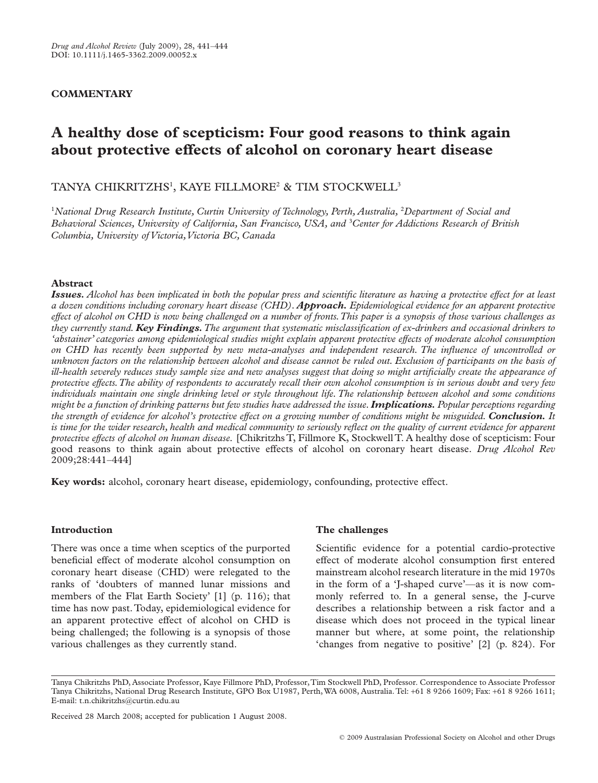# $COMMENTARY$

# **A healthy dose of scepticism: Four good reasons to think again about protective effects of alcohol on coronary heart disease**

# TANYA CHIKRITZHS<sup>1</sup>, KAYE FILLMORE<sup>2</sup> & TIM STOCKWELL<sup>3</sup>

1 *National Drug Research Institute, Curtin University of Technology, Perth, Australia,* <sup>2</sup> *Department of Social and Behavioral Sciences, University of California, San Francisco, USA, and* <sup>3</sup> *Center for Addictions Research of British Columbia, University of Victoria,Victoria BC, Canada*

#### **Abstract**

*Issues. Alcohol has been implicated in both the popular press and scientific literature as having a protective effect for at least a dozen conditions including coronary heart disease (CHD). Approach. Epidemiological evidence for an apparent protective effect of alcohol on CHD is now being challenged on a number of fronts.This paper is a synopsis of those various challenges as they currently stand. Key Findings.The argument that systematic misclassification of ex-drinkers and occasional drinkers to 'abstainer' categories among epidemiological studies might explain apparent protective effects of moderate alcohol consumption on CHD has recently been supported by new meta-analyses and independent research. The influence of uncontrolled or unknown factors on the relationship between alcohol and disease cannot be ruled out. Exclusion of participants on the basis of ill-health severely reduces study sample size and new analyses suggest that doing so might artificially create the appearance of protective effects.The ability of respondents to accurately recall their own alcohol consumption is in serious doubt and very few individuals maintain one single drinking level or style throughout life.The relationship between alcohol and some conditions might be a function of drinking patterns but few studies have addressed the issue. Implications. Popular perceptions regarding the strength of evidence for alcohol's protective effect on a growing number of conditions might be misguided. Conclusion. It is time for the wider research, health and medical community to seriously reflect on the quality of current evidence for apparent protective effects of alcohol on human disease.* [Chikritzhs T, Fillmore K, Stockwell T. A healthy dose of scepticism: Four good reasons to think again about protective effects of alcohol on coronary heart disease. *Drug Alcohol Rev* 2009;28:441–444]

**Key words:** alcohol, coronary heart disease, epidemiology, confounding, protective effect.

## **Introduction**

There was once a time when sceptics of the purported beneficial effect of moderate alcohol consumption on coronary heart disease (CHD) were relegated to the ranks of 'doubters of manned lunar missions and members of the Flat Earth Society' [1] (p. 116); that time has now past.Today, epidemiological evidence for an apparent protective effect of alcohol on CHD is being challenged; the following is a synopsis of those various challenges as they currently stand.

# **The challenges**

Scientific evidence for a potential cardio-protective effect of moderate alcohol consumption first entered mainstream alcohol research literature in the mid 1970s in the form of a 'J-shaped curve'—as it is now commonly referred to. In a general sense, the J-curve describes a relationship between a risk factor and a disease which does not proceed in the typical linear manner but where, at some point, the relationship 'changes from negative to positive' [2] (p. 824). For

Tanya Chikritzhs PhD, Associate Professor, Kaye Fillmore PhD, Professor,Tim Stockwell PhD, Professor. Correspondence to Associate Professor Tanya Chikritzhs, National Drug Research Institute, GPO Box U1987, Perth,WA 6008, Australia.Tel: +61 8 9266 1609; Fax: +61 8 9266 1611; E-mail: t.n.[chikritzhs@curtin.edu.au](mailto:chikritzhs@curtin.edu.au)

Received 28 March 2008; accepted for publication 1 August 2008.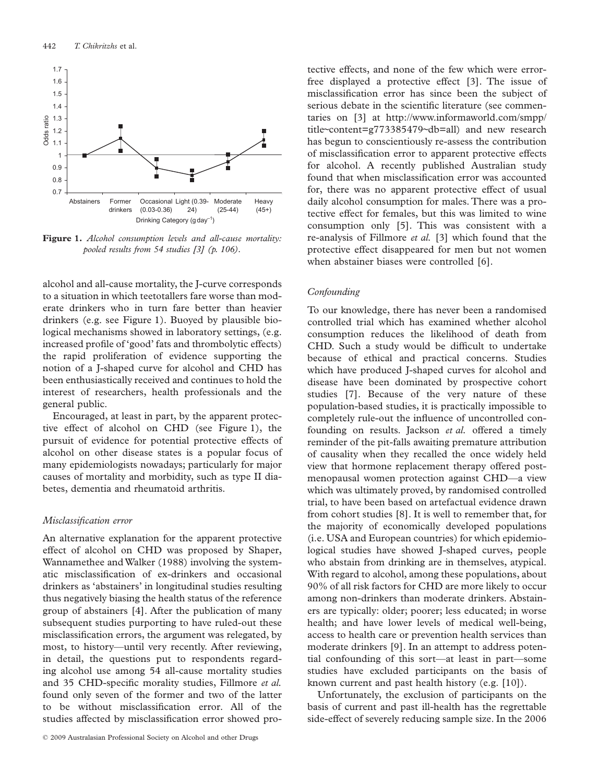

**Figure 1.** *Alcohol consumption levels and all-cause mortality: pooled results from 54 studies [3] (p. 106).*

alcohol and all-cause mortality, the J-curve corresponds to a situation in which teetotallers fare worse than moderate drinkers who in turn fare better than heavier drinkers (e.g. see Figure 1). Buoyed by plausible biological mechanisms showed in laboratory settings, (e.g. increased profile of 'good' fats and thrombolytic effects) the rapid proliferation of evidence supporting the notion of a J-shaped curve for alcohol and CHD has been enthusiastically received and continues to hold the interest of researchers, health professionals and the general public.

Encouraged, at least in part, by the apparent protective effect of alcohol on CHD (see Figure 1), the pursuit of evidence for potential protective effects of alcohol on other disease states is a popular focus of many epidemiologists nowadays; particularly for major causes of mortality and morbidity, such as type II diabetes, dementia and rheumatoid arthritis.

#### *Misclassification error*

An alternative explanation for the apparent protective effect of alcohol on CHD was proposed by Shaper, Wannamethee and Walker (1988) involving the systematic misclassification of ex-drinkers and occasional drinkers as 'abstainers' in longitudinal studies resulting thus negatively biasing the health status of the reference group of abstainers [4]. After the publication of many subsequent studies purporting to have ruled-out these misclassification errors, the argument was relegated, by most, to history—until very recently. After reviewing, in detail, the questions put to respondents regarding alcohol use among 54 all-cause mortality studies and 35 CHD-specific morality studies, Fillmore *et al.* found only seven of the former and two of the latter to be without misclassification error. All of the studies affected by misclassification error showed protective effects, and none of the few which were errorfree displayed a protective effect [3]. The issue of misclassification error has since been the subject of serious debate in the scientific literature (see commentaries on [3] at [http://www.informaworld.com/smpp/](http://www.informaworld.com/smpp) title~content=g773385479~db=all) and new research has begun to conscientiously re-assess the contribution of misclassification error to apparent protective effects for alcohol. A recently published Australian study found that when misclassification error was accounted for, there was no apparent protective effect of usual daily alcohol consumption for males. There was a protective effect for females, but this was limited to wine consumption only [5]. This was consistent with a re-analysis of Fillmore *et al.* [3] which found that the protective effect disappeared for men but not women when abstainer biases were controlled [6].

#### *Confounding*

To our knowledge, there has never been a randomised controlled trial which has examined whether alcohol consumption reduces the likelihood of death from CHD. Such a study would be difficult to undertake because of ethical and practical concerns. Studies which have produced J-shaped curves for alcohol and disease have been dominated by prospective cohort studies [7]. Because of the very nature of these population-based studies, it is practically impossible to completely rule-out the influence of uncontrolled confounding on results. Jackson *et al.* offered a timely reminder of the pit-falls awaiting premature attribution of causality when they recalled the once widely held view that hormone replacement therapy offered postmenopausal women protection against CHD—a view which was ultimately proved, by randomised controlled trial, to have been based on artefactual evidence drawn from cohort studies [8]. It is well to remember that, for the majority of economically developed populations (i.e. USA and European countries) for which epidemiological studies have showed J-shaped curves, people who abstain from drinking are in themselves, atypical. With regard to alcohol, among these populations, about 90% of all risk factors for CHD are more likely to occur among non-drinkers than moderate drinkers. Abstainers are typically: older; poorer; less educated; in worse health; and have lower levels of medical well-being, access to health care or prevention health services than moderate drinkers [9]. In an attempt to address potential confounding of this sort—at least in part—some studies have excluded participants on the basis of known current and past health history (e.g. [10]).

Unfortunately, the exclusion of participants on the basis of current and past ill-health has the regrettable side-effect of severely reducing sample size. In the 2006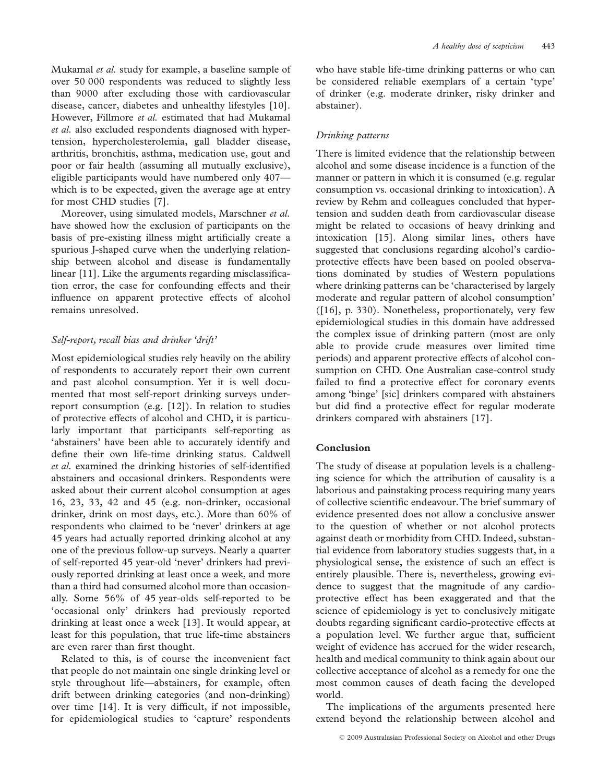Mukamal *et al.* study for example, a baseline sample of over 50 000 respondents was reduced to slightly less than 9000 after excluding those with cardiovascular disease, cancer, diabetes and unhealthy lifestyles [10]. However, Fillmore *et al.* estimated that had Mukamal *et al.* also excluded respondents diagnosed with hypertension, hypercholesterolemia, gall bladder disease, arthritis, bronchitis, asthma, medication use, gout and poor or fair health (assuming all mutually exclusive), eligible participants would have numbered only 407 which is to be expected, given the average age at entry for most CHD studies [7].

Moreover, using simulated models, Marschner *et al.* have showed how the exclusion of participants on the basis of pre-existing illness might artificially create a spurious J-shaped curve when the underlying relationship between alcohol and disease is fundamentally linear [11]. Like the arguments regarding misclassification error, the case for confounding effects and their influence on apparent protective effects of alcohol remains unresolved.

## *Self-report, recall bias and drinker 'drift'*

Most epidemiological studies rely heavily on the ability of respondents to accurately report their own current and past alcohol consumption. Yet it is well documented that most self-report drinking surveys underreport consumption (e.g. [12]). In relation to studies of protective effects of alcohol and CHD, it is particularly important that participants self-reporting as 'abstainers' have been able to accurately identify and define their own life-time drinking status. Caldwell *et al.* examined the drinking histories of self-identified abstainers and occasional drinkers. Respondents were asked about their current alcohol consumption at ages 16, 23, 33, 42 and 45 (e.g. non-drinker, occasional drinker, drink on most days, etc.). More than 60% of respondents who claimed to be 'never' drinkers at age 45 years had actually reported drinking alcohol at any one of the previous follow-up surveys. Nearly a quarter of self-reported 45 year-old 'never' drinkers had previously reported drinking at least once a week, and more than a third had consumed alcohol more than occasionally. Some 56% of 45 year-olds self-reported to be 'occasional only' drinkers had previously reported drinking at least once a week [13]. It would appear, at least for this population, that true life-time abstainers are even rarer than first thought.

Related to this, is of course the inconvenient fact that people do not maintain one single drinking level or style throughout life—abstainers, for example, often drift between drinking categories (and non-drinking) over time [14]. It is very difficult, if not impossible, for epidemiological studies to 'capture' respondents who have stable life-time drinking patterns or who can be considered reliable exemplars of a certain 'type' of drinker (e.g. moderate drinker, risky drinker and abstainer).

# *Drinking patterns*

There is limited evidence that the relationship between alcohol and some disease incidence is a function of the manner or pattern in which it is consumed (e.g. regular consumption vs. occasional drinking to intoxication). A review by Rehm and colleagues concluded that hypertension and sudden death from cardiovascular disease might be related to occasions of heavy drinking and intoxication [15]. Along similar lines, others have suggested that conclusions regarding alcohol's cardioprotective effects have been based on pooled observations dominated by studies of Western populations where drinking patterns can be 'characterised by largely moderate and regular pattern of alcohol consumption' ([16], p. 330). Nonetheless, proportionately, very few epidemiological studies in this domain have addressed the complex issue of drinking pattern (most are only able to provide crude measures over limited time periods) and apparent protective effects of alcohol consumption on CHD. One Australian case-control study failed to find a protective effect for coronary events among 'binge' [sic] drinkers compared with abstainers but did find a protective effect for regular moderate drinkers compared with abstainers [17].

# **Conclusion**

The study of disease at population levels is a challenging science for which the attribution of causality is a laborious and painstaking process requiring many years of collective scientific endeavour.The brief summary of evidence presented does not allow a conclusive answer to the question of whether or not alcohol protects against death or morbidity from CHD. Indeed, substantial evidence from laboratory studies suggests that, in a physiological sense, the existence of such an effect is entirely plausible. There is, nevertheless, growing evidence to suggest that the magnitude of any cardioprotective effect has been exaggerated and that the science of epidemiology is yet to conclusively mitigate doubts regarding significant cardio-protective effects at a population level. We further argue that, sufficient weight of evidence has accrued for the wider research, health and medical community to think again about our collective acceptance of alcohol as a remedy for one the most common causes of death facing the developed world.

The implications of the arguments presented here extend beyond the relationship between alcohol and